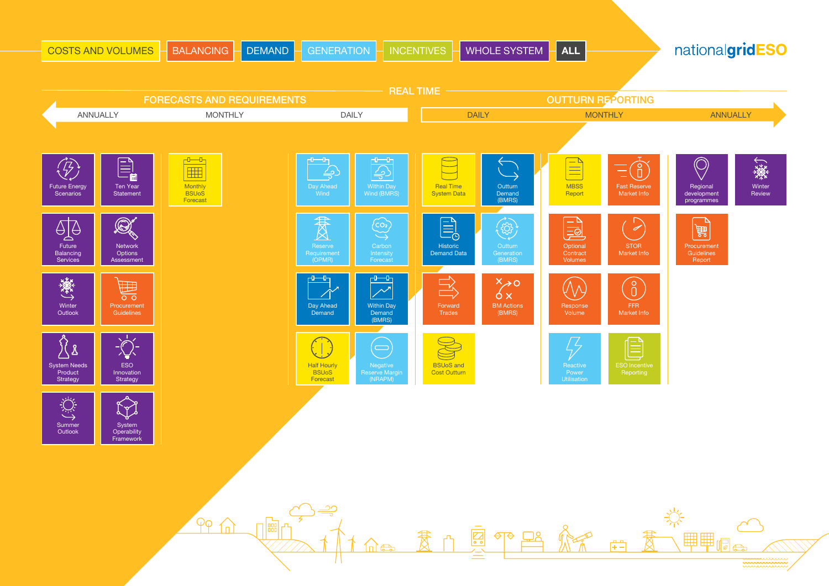<span id="page-0-0"></span>

|                                                               | <b>COSTS AND VOLUMES</b>                             | <b>BALANCING</b><br><b>DEMAND</b>                                              | <b>GENERATION</b>                                                                                                            | <b>WHOLE SYSTEM</b><br><b>INCENTIVES</b>                                              | $\overline{ALL}$                                                                                                           | nationalgridESO                                                              |
|---------------------------------------------------------------|------------------------------------------------------|--------------------------------------------------------------------------------|------------------------------------------------------------------------------------------------------------------------------|---------------------------------------------------------------------------------------|----------------------------------------------------------------------------------------------------------------------------|------------------------------------------------------------------------------|
|                                                               |                                                      | <b>FORECASTS AND REQUIREMENTS</b>                                              |                                                                                                                              | <b>REAL TIME</b>                                                                      | <b>OUTTURN REPORTING</b>                                                                                                   |                                                                              |
|                                                               | ANNUALLY                                             | <b>MONTHLY</b>                                                                 | <b>DAILY</b>                                                                                                                 | <b>DAILY</b>                                                                          | <b>MONTHLY</b>                                                                                                             | <b>ANNUALLY</b>                                                              |
| $\overline{\mathcal{L}}$<br><b>Future Energy</b><br>Scenarios | E)<br><b>Ten Year</b><br>Statement                   | $\overline{\mathbb{C}}$<br>E<br>Monthly<br><b>BSU<sub>o</sub>S</b><br>Forecast | ᠊᠐᠊᠊᠆᠐᠆ᢩ<br>-0-0-<br>$\bigoplus$<br><u>ے ،</u><br><b>Within Day</b><br>Day Ahead<br>Wind (BMRS)<br>Wind                      | <b>Real Time</b><br>Outturn<br><b>System Data</b><br>Demand<br>(BMRS)                 | $\equiv$<br>G<br>Ξ<br><b>MBSS</b><br><b>Fast Reserve</b><br>Market Info<br>Report                                          | $\bigcirc$<br>業<br>Winter<br>Regional<br>Review<br>development<br>programmes |
| $\bigoplus_{\Delta}$<br>Future<br>Balancing<br>Services       | $\mathscr{A}$<br>Network<br>Options<br>Assessment    |                                                                                | 贯<br>$\overleftrightarrow{\mathcal{C}}$<br>Carbon<br>Reserve<br>Intensity<br>Requirement<br>(OPMR)<br>Forecast               | B<br>ිසි<br>Outturn<br>Historic<br><b>Demand Data</b><br>Generation<br>(BMRS)         | $\sum$<br>$\equiv$<br>Optional<br><b>STOR</b><br>Contract<br>Market Info<br>Volumes                                        | 篇<br>Procurement<br>Guidelines<br>Report                                     |
| ▓→<br>Winter<br>Outlook                                       | 囲<br>$\overline{\circ}$<br>Procurement<br>Guidelines |                                                                                | ਹ⊢<br>╶┖╌╌┖┐<br>$\sim$<br>Day Ahead<br><b>Within Day</b><br>Demand<br>Demand<br>(BMRS)                                       | $\mathbb{R}$<br>$x \rightarrow 0$<br><b>BM Actions</b><br>Forward<br>(BMRS)<br>Trades | $\begin{bmatrix} 8 \ 0 \end{bmatrix}$<br>$(\! \backslash \! \wedge \!)$<br>Response<br><b>FFR</b><br>Volume<br>Market Info |                                                                              |
| λ<br><b>System Needs</b><br>Product<br>Strategy               | <b>ESO</b><br>Innovation<br>Strategy                 |                                                                                | $\blacklozenge$<br><b>Half Hourly</b><br>Negative<br><b>BSU<sub>o</sub>S</b><br><b>Reserve Margir</b><br>(NRAPM)<br>Forecast | <b>BSUoS and</b><br><b>Cost Outturn</b>                                               | $\bm{\mathbb{E}}$<br>Reactive<br><b>ESO</b> Incentive<br>Power<br>Reporting<br><b>Utilisation</b>                          |                                                                              |
| Summer<br>Outlook                                             | J<br>System<br>Operability<br>Framework              |                                                                                |                                                                                                                              |                                                                                       |                                                                                                                            |                                                                              |
|                                                               |                                                      |                                                                                |                                                                                                                              |                                                                                       |                                                                                                                            |                                                                              |
|                                                               |                                                      | PPf                                                                            |                                                                                                                              |                                                                                       |                                                                                                                            |                                                                              |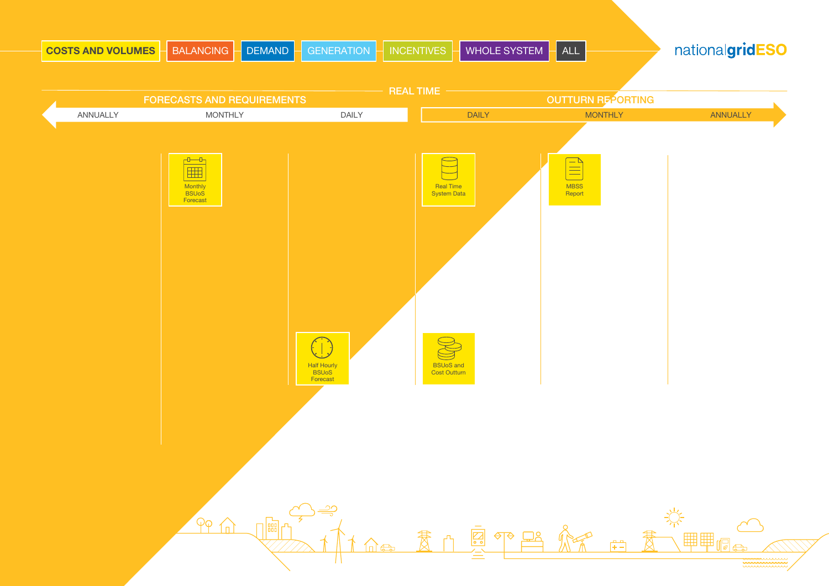<span id="page-1-0"></span>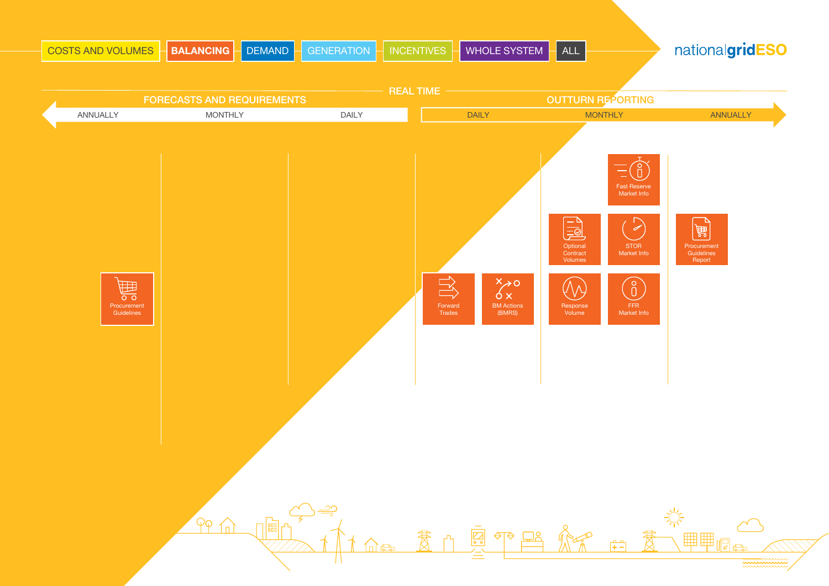<span id="page-2-0"></span>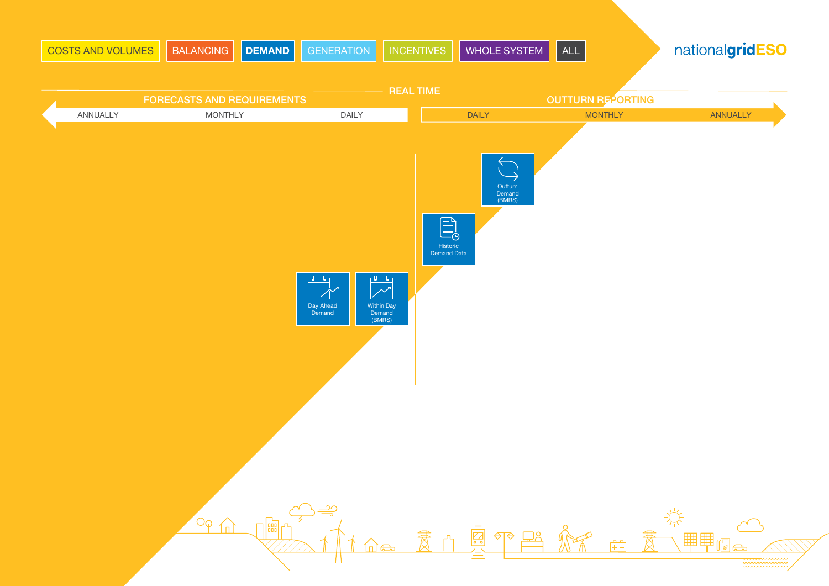<span id="page-3-0"></span>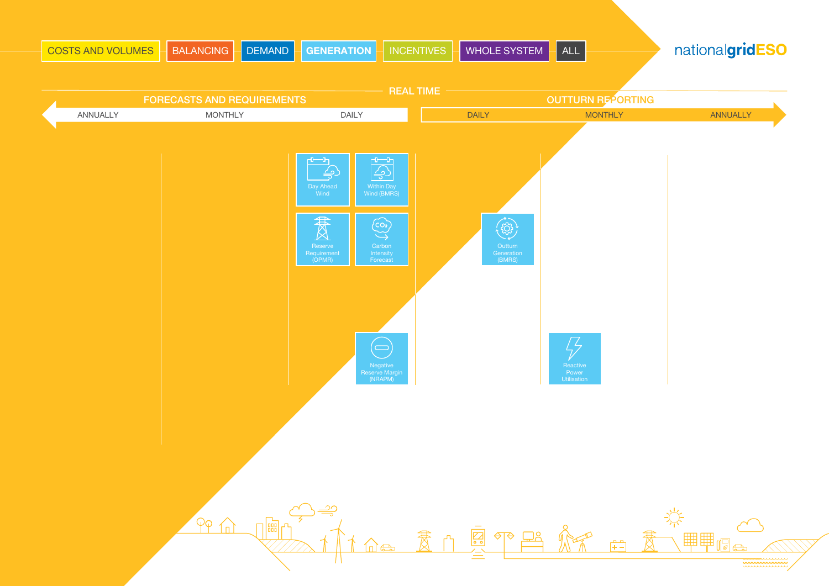<span id="page-4-0"></span>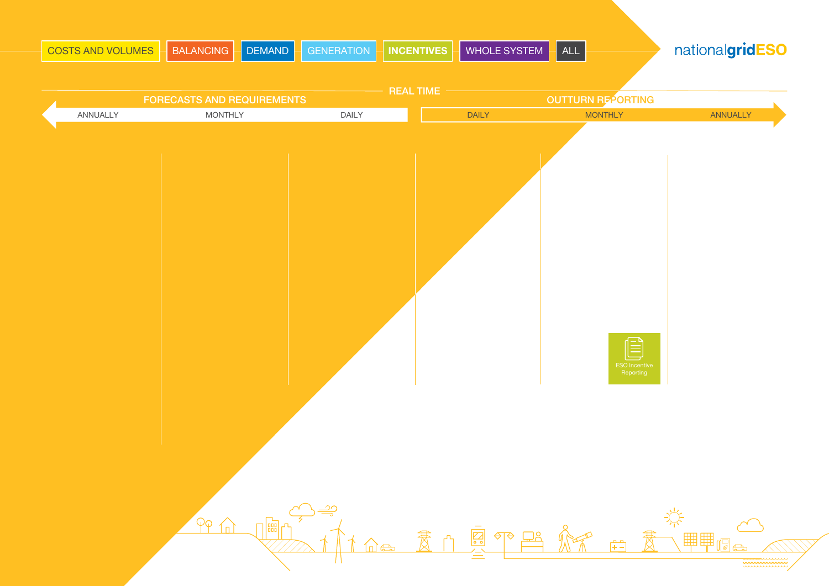<span id="page-5-0"></span>